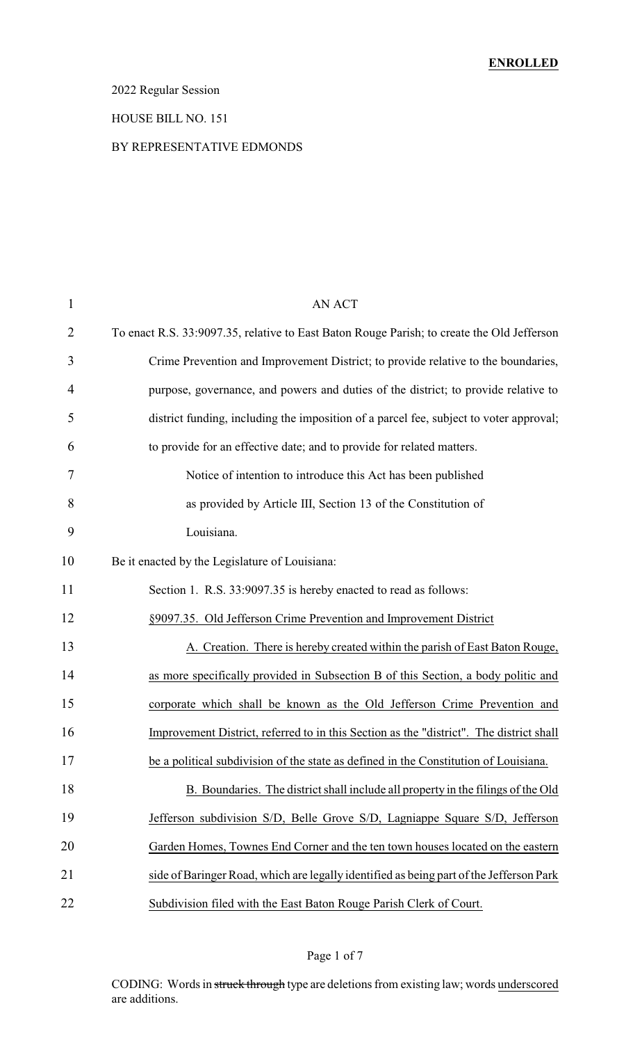#### 2022 Regular Session

#### HOUSE BILL NO. 151

#### BY REPRESENTATIVE EDMONDS

| $\mathbf{1}$   | <b>AN ACT</b>                                                                              |
|----------------|--------------------------------------------------------------------------------------------|
| $\overline{2}$ | To enact R.S. 33:9097.35, relative to East Baton Rouge Parish; to create the Old Jefferson |
| 3              | Crime Prevention and Improvement District; to provide relative to the boundaries,          |
| 4              | purpose, governance, and powers and duties of the district; to provide relative to         |
| 5              | district funding, including the imposition of a parcel fee, subject to voter approval;     |
| 6              | to provide for an effective date; and to provide for related matters.                      |
| 7              | Notice of intention to introduce this Act has been published                               |
| 8              | as provided by Article III, Section 13 of the Constitution of                              |
| 9              | Louisiana.                                                                                 |
| 10             | Be it enacted by the Legislature of Louisiana:                                             |
| 11             | Section 1. R.S. 33:9097.35 is hereby enacted to read as follows:                           |
| 12             | §9097.35. Old Jefferson Crime Prevention and Improvement District                          |
| 13             | A. Creation. There is hereby created within the parish of East Baton Rouge,                |
| 14             | as more specifically provided in Subsection B of this Section, a body politic and          |
| 15             | corporate which shall be known as the Old Jefferson Crime Prevention and                   |
| 16             | Improvement District, referred to in this Section as the "district". The district shall    |
| 17             | be a political subdivision of the state as defined in the Constitution of Louisiana.       |
| 18             | B. Boundaries. The district shall include all property in the filings of the Old           |
| 19             | Jefferson subdivision S/D, Belle Grove S/D, Lagniappe Square S/D, Jefferson                |
| 20             | Garden Homes, Townes End Corner and the ten town houses located on the eastern             |
| 21             | side of Baringer Road, which are legally identified as being part of the Jefferson Park    |
| 22             | Subdivision filed with the East Baton Rouge Parish Clerk of Court.                         |

#### Page 1 of 7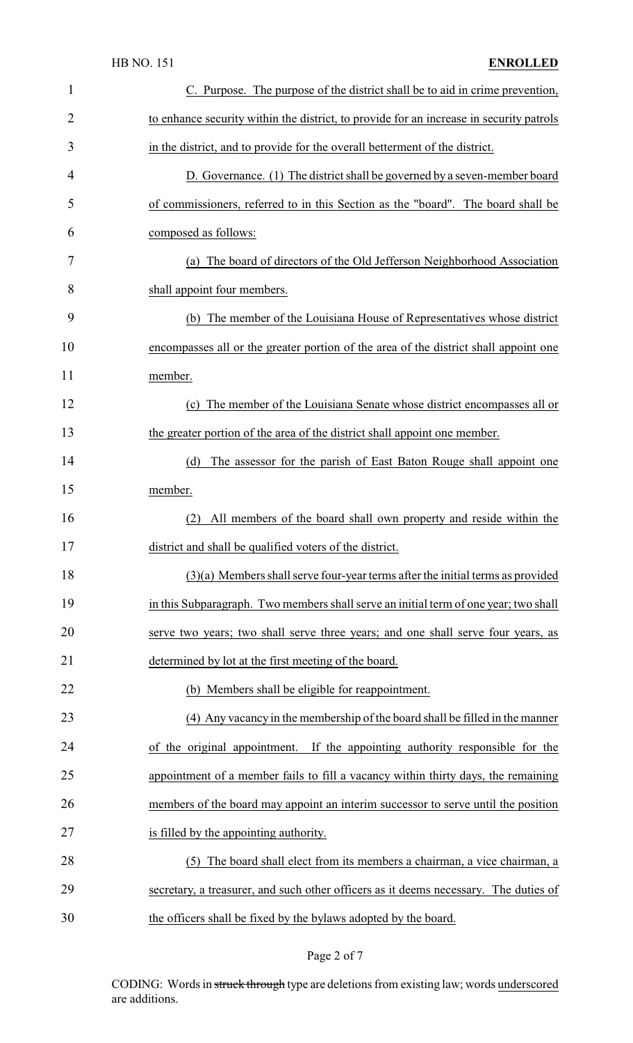| 1              | C. Purpose. The purpose of the district shall be to aid in crime prevention,            |
|----------------|-----------------------------------------------------------------------------------------|
| $\overline{2}$ | to enhance security within the district, to provide for an increase in security patrols |
| 3              | in the district, and to provide for the overall betterment of the district.             |
| 4              | D. Governance. (1) The district shall be governed by a seven-member board               |
| 5              | of commissioners, referred to in this Section as the "board". The board shall be        |
| 6              | composed as follows:                                                                    |
| 7              | (a) The board of directors of the Old Jefferson Neighborhood Association                |
| 8              | shall appoint four members.                                                             |
| 9              | The member of the Louisiana House of Representatives whose district<br>(b)              |
| 10             | encompasses all or the greater portion of the area of the district shall appoint one    |
| 11             | member.                                                                                 |
| 12             | The member of the Louisiana Senate whose district encompasses all or<br>(c)             |
| 13             | the greater portion of the area of the district shall appoint one member.               |
| 14             | The assessor for the parish of East Baton Rouge shall appoint one<br>(d)                |
| 15             | member.                                                                                 |
| 16             | All members of the board shall own property and reside within the<br>(2)                |
| 17             | district and shall be qualified voters of the district.                                 |
| 18             | $(3)(a)$ Members shall serve four-year terms after the initial terms as provided        |
| 19             | in this Subparagraph. Two members shall serve an initial term of one year; two shall    |
| 20             | serve two years; two shall serve three years; and one shall serve four years, as        |
| 21             | determined by lot at the first meeting of the board.                                    |
| 22             | (b) Members shall be eligible for reappointment.                                        |
| 23             | (4) Any vacancy in the membership of the board shall be filled in the manner            |
| 24             | of the original appointment. If the appointing authority responsible for the            |
| 25             | appointment of a member fails to fill a vacancy within thirty days, the remaining       |
| 26             | members of the board may appoint an interim successor to serve until the position       |
| 27             | is filled by the appointing authority.                                                  |
| 28             | The board shall elect from its members a chairman, a vice chairman, a<br>(5)            |
| 29             | secretary, a treasurer, and such other officers as it deems necessary. The duties of    |
| 30             | the officers shall be fixed by the bylaws adopted by the board.                         |

# Page 2 of 7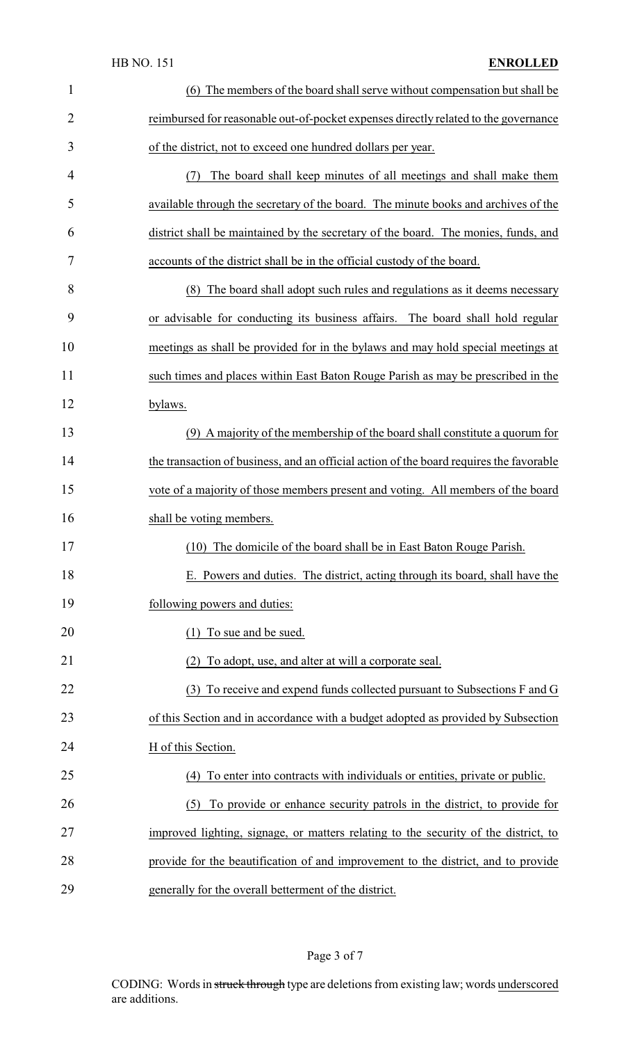### HB NO. 151 **ENROLLED**

| $\mathbf{1}$   | (6) The members of the board shall serve without compensation but shall be              |
|----------------|-----------------------------------------------------------------------------------------|
| $\overline{2}$ | reimbursed for reasonable out-of-pocket expenses directly related to the governance     |
| 3              | of the district, not to exceed one hundred dollars per year.                            |
| 4              | The board shall keep minutes of all meetings and shall make them<br>(7)                 |
| 5              | available through the secretary of the board. The minute books and archives of the      |
| 6              | district shall be maintained by the secretary of the board. The monies, funds, and      |
| 7              | accounts of the district shall be in the official custody of the board.                 |
| 8              | (8) The board shall adopt such rules and regulations as it deems necessary              |
| 9              | or advisable for conducting its business affairs. The board shall hold regular          |
| 10             | meetings as shall be provided for in the bylaws and may hold special meetings at        |
| 11             | such times and places within East Baton Rouge Parish as may be prescribed in the        |
| 12             | bylaws.                                                                                 |
| 13             | (9) A majority of the membership of the board shall constitute a quorum for             |
| 14             | the transaction of business, and an official action of the board requires the favorable |
| 15             | vote of a majority of those members present and voting. All members of the board        |
| 16             | shall be voting members.                                                                |
| 17             | (10) The domicile of the board shall be in East Baton Rouge Parish                      |
| 18             | E. Powers and duties. The district, acting through its board, shall have the            |
| 19             | following powers and duties:                                                            |
| 20             | (1) To sue and be sued.                                                                 |
| 21             | To adopt, use, and alter at will a corporate seal.                                      |
| 22             | (3) To receive and expend funds collected pursuant to Subsections F and G               |
| 23             | of this Section and in accordance with a budget adopted as provided by Subsection       |
| 24             | H of this Section.                                                                      |
| 25             | To enter into contracts with individuals or entities, private or public.<br>(4)         |
| 26             | To provide or enhance security patrols in the district, to provide for<br>(5)           |
| 27             | improved lighting, signage, or matters relating to the security of the district, to     |
| 28             | provide for the beautification of and improvement to the district, and to provide       |
| 29             | generally for the overall betterment of the district.                                   |

# Page 3 of 7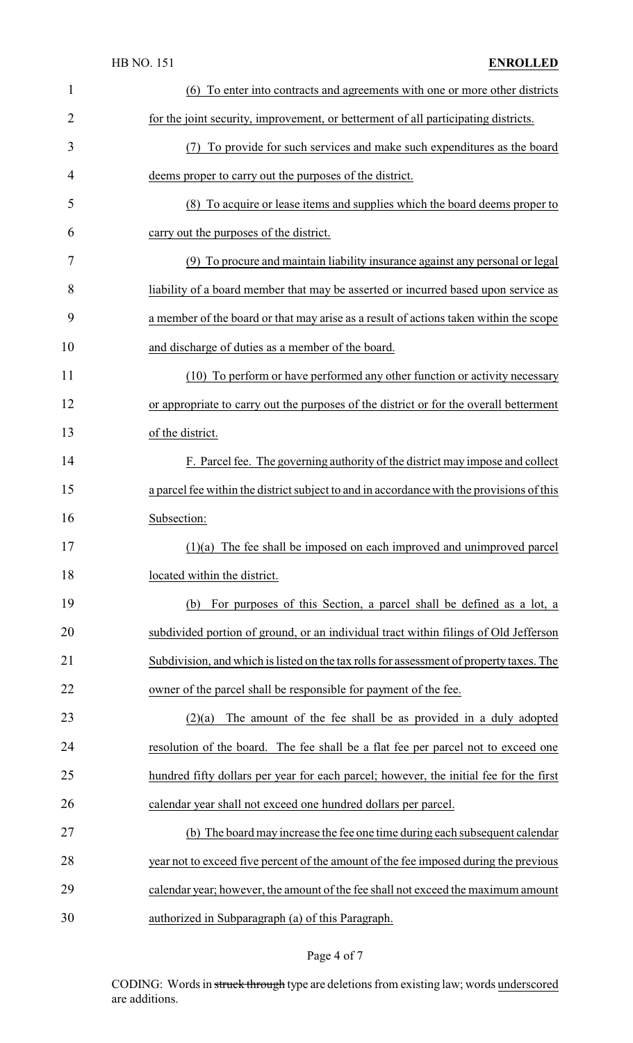### HB NO. 151 **ENROLLED**

| $\mathbf{1}$ | (6) To enter into contracts and agreements with one or more other districts               |
|--------------|-------------------------------------------------------------------------------------------|
| 2            | for the joint security, improvement, or betterment of all participating districts.        |
| 3            | (7) To provide for such services and make such expenditures as the board                  |
| 4            | deems proper to carry out the purposes of the district.                                   |
| 5            | (8) To acquire or lease items and supplies which the board deems proper to                |
| 6            | carry out the purposes of the district.                                                   |
| 7            | (9) To procure and maintain liability insurance against any personal or legal             |
| 8            | liability of a board member that may be asserted or incurred based upon service as        |
| 9            | a member of the board or that may arise as a result of actions taken within the scope     |
| 10           | and discharge of duties as a member of the board.                                         |
| 11           | (10) To perform or have performed any other function or activity necessary                |
| 12           | or appropriate to carry out the purposes of the district or for the overall betterment    |
| 13           | of the district.                                                                          |
| 14           | F. Parcel fee. The governing authority of the district may impose and collect             |
| 15           | a parcel fee within the district subject to and in accordance with the provisions of this |
| 16           | Subsection:                                                                               |
| 17           | $(1)(a)$ The fee shall be imposed on each improved and unimproved parcel                  |
| 18           | located within the district.                                                              |
| 19           | For purposes of this Section, a parcel shall be defined as a lot, a<br>(b)                |
| 20           | subdivided portion of ground, or an individual tract within filings of Old Jefferson      |
| 21           | Subdivision, and which is listed on the tax rolls for assessment of property taxes. The   |
| 22           | owner of the parcel shall be responsible for payment of the fee.                          |
| 23           | The amount of the fee shall be as provided in a duly adopted<br>(2)(a)                    |
| 24           | resolution of the board. The fee shall be a flat fee per parcel not to exceed one         |
| 25           | hundred fifty dollars per year for each parcel; however, the initial fee for the first    |
|              | calendar year shall not exceed one hundred dollars per parcel.                            |
| 26           | (b) The board may increase the fee one time during each subsequent calendar               |
| 27           |                                                                                           |
| 28           | year not to exceed five percent of the amount of the fee imposed during the previous      |
| 29           | calendar year; however, the amount of the fee shall not exceed the maximum amount         |

# Page 4 of 7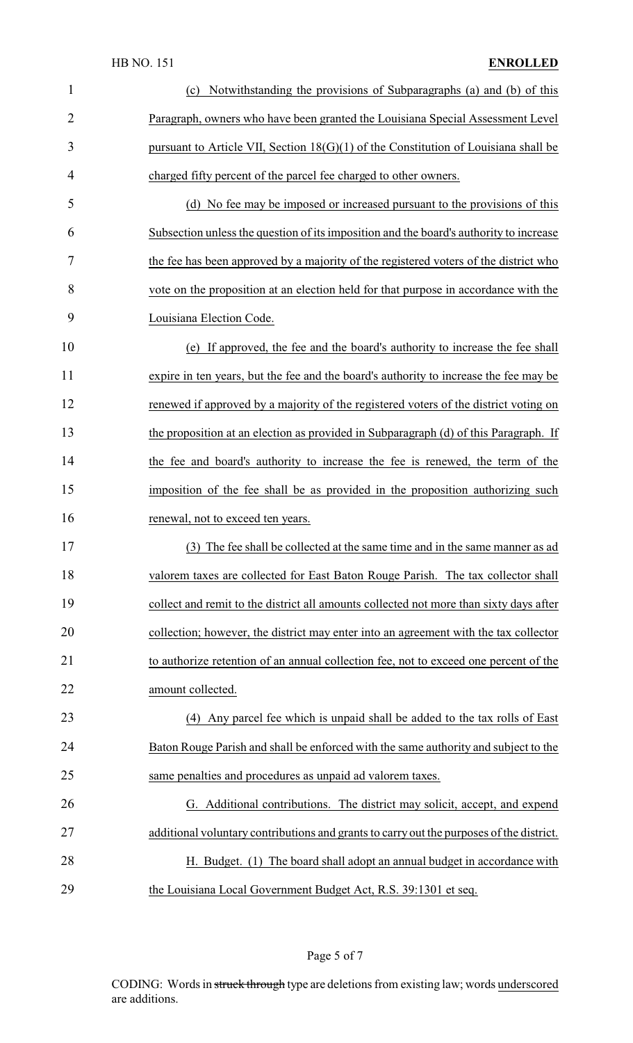| $\mathbf{1}$   | Notwithstanding the provisions of Subparagraphs (a) and (b) of this<br>(c)               |
|----------------|------------------------------------------------------------------------------------------|
| $\overline{2}$ | Paragraph, owners who have been granted the Louisiana Special Assessment Level           |
| 3              | pursuant to Article VII, Section $18(G)(1)$ of the Constitution of Louisiana shall be    |
| 4              | charged fifty percent of the parcel fee charged to other owners.                         |
| 5              | (d) No fee may be imposed or increased pursuant to the provisions of this                |
| 6              | Subsection unless the question of its imposition and the board's authority to increase   |
| 7              | the fee has been approved by a majority of the registered voters of the district who     |
| 8              | vote on the proposition at an election held for that purpose in accordance with the      |
| 9              | Louisiana Election Code.                                                                 |
| 10             | (e) If approved, the fee and the board's authority to increase the fee shall             |
| 11             | expire in ten years, but the fee and the board's authority to increase the fee may be    |
| 12             | renewed if approved by a majority of the registered voters of the district voting on     |
| 13             | the proposition at an election as provided in Subparagraph (d) of this Paragraph. If     |
| 14             | the fee and board's authority to increase the fee is renewed, the term of the            |
| 15             | imposition of the fee shall be as provided in the proposition authorizing such           |
| 16             | renewal, not to exceed ten years.                                                        |
| 17             | (3) The fee shall be collected at the same time and in the same manner as ad             |
| 18             | valorem taxes are collected for East Baton Rouge Parish. The tax collector shall         |
| 19             | collect and remit to the district all amounts collected not more than sixty days after   |
| 20             | collection; however, the district may enter into an agreement with the tax collector     |
| 21             | to authorize retention of an annual collection fee, not to exceed one percent of the     |
| 22             | amount collected.                                                                        |
| 23             | (4) Any parcel fee which is unpaid shall be added to the tax rolls of East               |
| 24             | Baton Rouge Parish and shall be enforced with the same authority and subject to the      |
| 25             | same penalties and procedures as unpaid ad valorem taxes.                                |
| 26             | G. Additional contributions. The district may solicit, accept, and expend                |
| 27             | additional voluntary contributions and grants to carry out the purposes of the district. |
| 28             | H. Budget. (1) The board shall adopt an annual budget in accordance with                 |
| 29             | the Louisiana Local Government Budget Act, R.S. 39:1301 et seq.                          |

# Page 5 of 7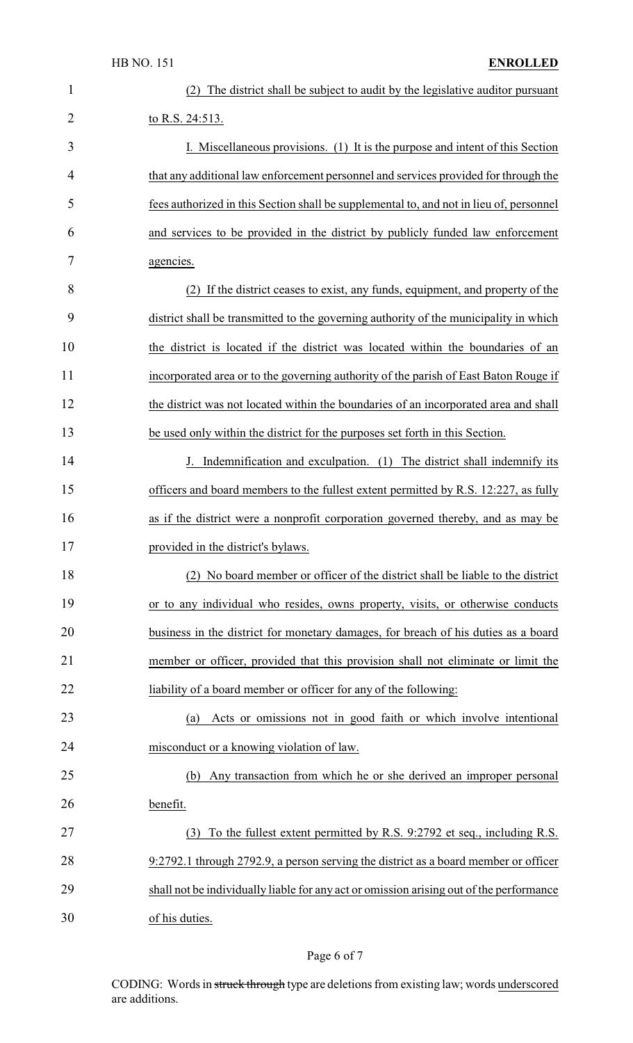| 1  | The district shall be subject to audit by the legislative auditor pursuant              |
|----|-----------------------------------------------------------------------------------------|
| 2  | to R.S. 24:513.                                                                         |
| 3  | I. Miscellaneous provisions. (1) It is the purpose and intent of this Section           |
| 4  | that any additional law enforcement personnel and services provided for through the     |
| 5  | fees authorized in this Section shall be supplemental to, and not in lieu of, personnel |
| 6  | and services to be provided in the district by publicly funded law enforcement          |
| 7  | agencies.                                                                               |
| 8  | (2) If the district ceases to exist, any funds, equipment, and property of the          |
| 9  | district shall be transmitted to the governing authority of the municipality in which   |
| 10 | the district is located if the district was located within the boundaries of an         |
| 11 | incorporated area or to the governing authority of the parish of East Baton Rouge if    |
| 12 | the district was not located within the boundaries of an incorporated area and shall    |
| 13 | be used only within the district for the purposes set forth in this Section.            |
| 14 | J. Indemnification and exculpation. (1) The district shall indemnify its                |
| 15 | officers and board members to the fullest extent permitted by R.S. 12:227, as fully     |
| 16 | as if the district were a nonprofit corporation governed thereby, and as may be         |
| 17 | provided in the district's bylaws.                                                      |
| 18 | (2) No board member or officer of the district shall be liable to the district          |
| 19 | or to any individual who resides, owns property, visits, or otherwise conducts          |
| 20 | business in the district for monetary damages, for breach of his duties as a board      |
| 21 | member or officer, provided that this provision shall not eliminate or limit the        |
| 22 | liability of a board member or officer for any of the following:                        |
| 23 | Acts or omissions not in good faith or which involve intentional<br>(a)                 |
| 24 | misconduct or a knowing violation of law.                                               |
| 25 | Any transaction from which he or she derived an improper personal<br>(b)                |
| 26 | benefit.                                                                                |
| 27 | To the fullest extent permitted by R.S. 9:2792 et seq., including R.S.<br>(3)           |
| 28 | 9:2792.1 through 2792.9, a person serving the district as a board member or officer     |
| 29 | shall not be individually liable for any act or omission arising out of the performance |
| 30 | of his duties.                                                                          |

# Page 6 of 7